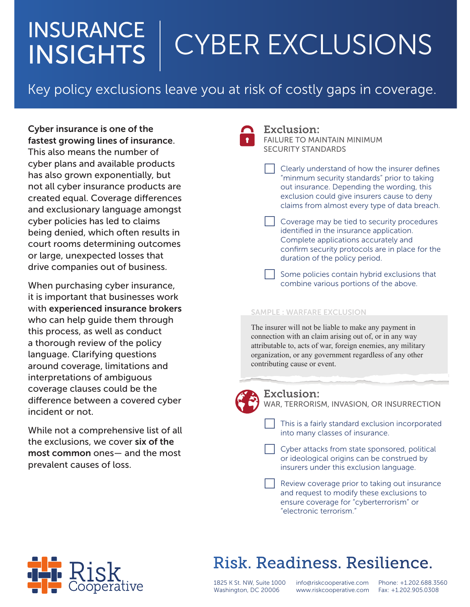## INSURANCE | INSIGHTS | CYBER EXCLUSIONS

# Key policy exclusions leave you at risk of costly gaps in coverage.

Cyber insurance is one of the fastest growing lines of insurance. This also means the number of cyber plans and available products has also grown exponentially, but not all cyber insurance products are created equal. Coverage differences and exclusionary language amongst cyber policies has led to claims being denied, which often results in court rooms determining outcomes or large, unexpected losses that drive companies out of business.

When purchasing cyber insurance, it is important that businesses work with experienced insurance brokers who can help guide them through this process, as well as conduct a thorough review of the policy language. Clarifying questions around coverage, limitations and interpretations of ambiguous coverage clauses could be the difference between a covered cyber incident or not.

While not a comprehensive list of all the exclusions, we cover six of the most common ones— and the most prevalent causes of loss.



#### Exclusion: FAILURE TO MAINTAIN MINIMUM SECURITY STANDARDS

 Clearly understand of how the insurer defines "minmum security standards" prior to taking out insurance. Depending the wording, this exclusion could give insurers cause to deny claims from almost every type of data breach.

- Coverage may be tied to security procedures identified in the insurance application. Complete applications accurately and confirm security protocols are in place for the duration of the policy period.
- Some policies contain hybrid exclusions that combine various portions of the above.

### SAMPLE : WARFARE EXCLUSION

The insurer will not be liable to make any payment in connection with an claim arising out of, or in any way attributable to, acts of war, foreign enemies, any military organization, or any government regardless of any other contributing cause or event.



Exclusion: WAR, TERRORISM, INVASION, OR INSURRECTION

 This is a fairly standard exclusion incorporated into many classes of insurance.

 Cyber attacks from state sponsored, political or ideological origins can be construed by insurers under this exclusion language.

 Review coverage prior to taking out insurance and request to modify these exclusions to ensure coverage for "cyberterrorism" or "electronic terrorism."



## Risk, Readiness, Resilience.

1825 K St. NW, Suite 1000 Washington, DC 20006

info@riskcooperative.com www.riskcooperative.com

Phone: +1.202.688.3560 Fax: +1.202.905.0308